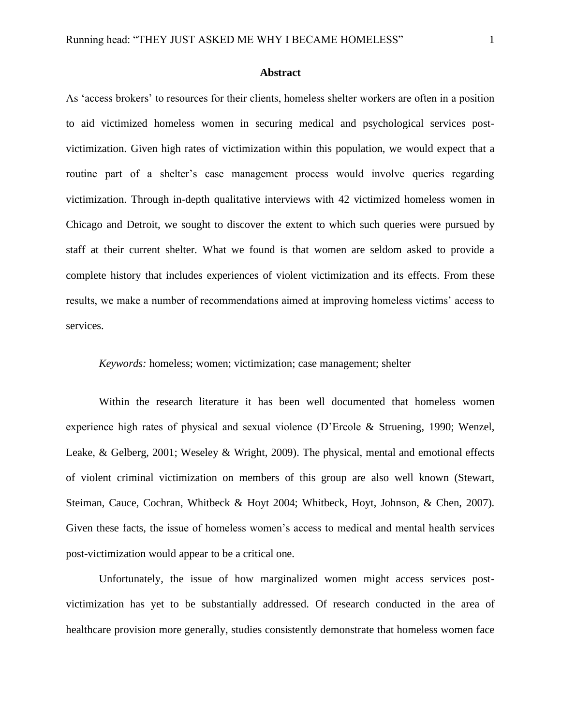### **Abstract**

As 'access brokers' to resources for their clients, homeless shelter workers are often in a position to aid victimized homeless women in securing medical and psychological services postvictimization. Given high rates of victimization within this population, we would expect that a routine part of a shelter's case management process would involve queries regarding victimization. Through in-depth qualitative interviews with 42 victimized homeless women in Chicago and Detroit, we sought to discover the extent to which such queries were pursued by staff at their current shelter. What we found is that women are seldom asked to provide a complete history that includes experiences of violent victimization and its effects. From these results, we make a number of recommendations aimed at improving homeless victims' access to services.

*Keywords:* homeless; women; victimization; case management; shelter

Within the research literature it has been well documented that homeless women experience high rates of physical and sexual violence (D'Ercole & Struening, 1990; Wenzel, Leake, & Gelberg, 2001; Weseley & Wright, 2009). The physical, mental and emotional effects of violent criminal victimization on members of this group are also well known (Stewart, Steiman, Cauce, Cochran, Whitbeck & Hoyt 2004; Whitbeck, Hoyt, Johnson, & Chen, 2007). Given these facts, the issue of homeless women's access to medical and mental health services post-victimization would appear to be a critical one.

Unfortunately, the issue of how marginalized women might access services postvictimization has yet to be substantially addressed. Of research conducted in the area of healthcare provision more generally, studies consistently demonstrate that homeless women face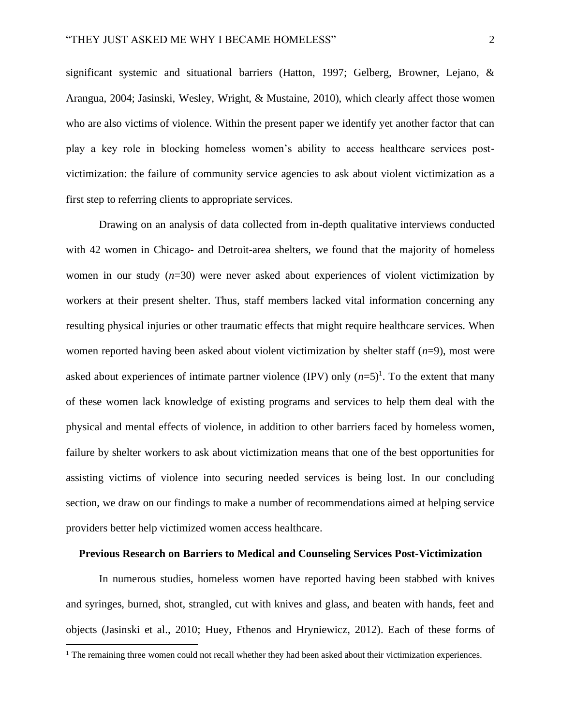significant systemic and situational barriers (Hatton, 1997; Gelberg, Browner, Lejano, & Arangua, 2004; Jasinski, Wesley, Wright, & Mustaine, 2010), which clearly affect those women who are also victims of violence. Within the present paper we identify yet another factor that can play a key role in blocking homeless women's ability to access healthcare services postvictimization: the failure of community service agencies to ask about violent victimization as a first step to referring clients to appropriate services.

Drawing on an analysis of data collected from in-depth qualitative interviews conducted with 42 women in Chicago- and Detroit-area shelters, we found that the majority of homeless women in our study (*n*=30) were never asked about experiences of violent victimization by workers at their present shelter. Thus, staff members lacked vital information concerning any resulting physical injuries or other traumatic effects that might require healthcare services. When women reported having been asked about violent victimization by shelter staff (*n*=9), most were asked about experiences of intimate partner violence  $(IPV)$  only  $(n=5)^{1}$ . To the extent that many of these women lack knowledge of existing programs and services to help them deal with the physical and mental effects of violence, in addition to other barriers faced by homeless women, failure by shelter workers to ask about victimization means that one of the best opportunities for assisting victims of violence into securing needed services is being lost. In our concluding section, we draw on our findings to make a number of recommendations aimed at helping service providers better help victimized women access healthcare.

# **Previous Research on Barriers to Medical and Counseling Services Post-Victimization**

In numerous studies, homeless women have reported having been stabbed with knives and syringes, burned, shot, strangled, cut with knives and glass, and beaten with hands, feet and objects (Jasinski et al., 2010; Huey, Fthenos and Hryniewicz, 2012). Each of these forms of

<sup>&</sup>lt;sup>1</sup> The remaining three women could not recall whether they had been asked about their victimization experiences.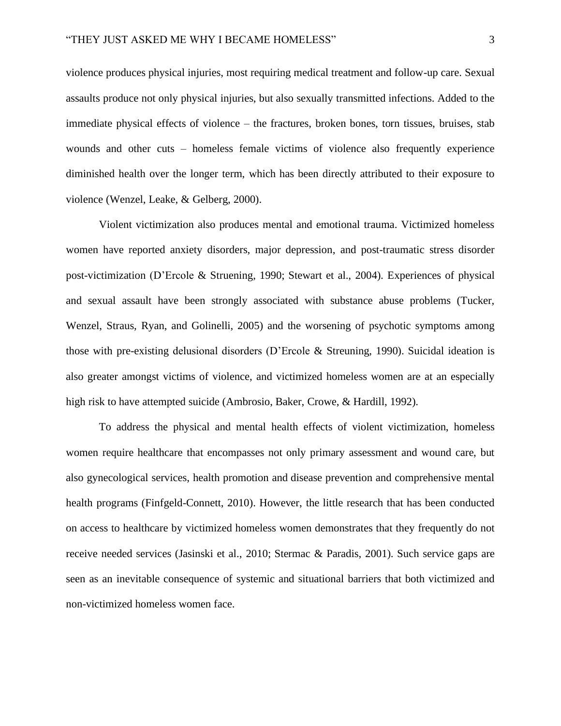violence produces physical injuries, most requiring medical treatment and follow-up care. Sexual assaults produce not only physical injuries, but also sexually transmitted infections. Added to the immediate physical effects of violence – the fractures, broken bones, torn tissues, bruises, stab wounds and other cuts – homeless female victims of violence also frequently experience diminished health over the longer term, which has been directly attributed to their exposure to violence (Wenzel, Leake, & Gelberg, 2000).

Violent victimization also produces mental and emotional trauma. Victimized homeless women have reported anxiety disorders, major depression, and post-traumatic stress disorder post-victimization (D'Ercole & Struening, 1990; Stewart et al., 2004). Experiences of physical and sexual assault have been strongly associated with substance abuse problems (Tucker, Wenzel, Straus, Ryan, and Golinelli, 2005) and the worsening of psychotic symptoms among those with pre-existing delusional disorders (D'Ercole & Streuning, 1990). Suicidal ideation is also greater amongst victims of violence, and victimized homeless women are at an especially high risk to have attempted suicide (Ambrosio, Baker, Crowe, & Hardill, 1992).

To address the physical and mental health effects of violent victimization, homeless women require healthcare that encompasses not only primary assessment and wound care, but also gynecological services, health promotion and disease prevention and comprehensive mental health programs (Finfgeld-Connett, 2010). However, the little research that has been conducted on access to healthcare by victimized homeless women demonstrates that they frequently do not receive needed services (Jasinski et al., 2010; Stermac & Paradis, 2001). Such service gaps are seen as an inevitable consequence of systemic and situational barriers that both victimized and non-victimized homeless women face.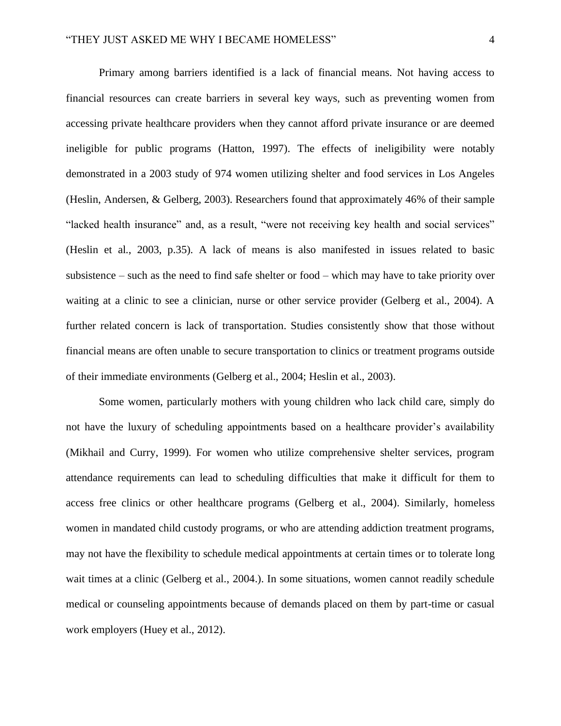Primary among barriers identified is a lack of financial means. Not having access to financial resources can create barriers in several key ways, such as preventing women from accessing private healthcare providers when they cannot afford private insurance or are deemed ineligible for public programs (Hatton, 1997). The effects of ineligibility were notably demonstrated in a 2003 study of 974 women utilizing shelter and food services in Los Angeles (Heslin, Andersen, & Gelberg, 2003). Researchers found that approximately 46% of their sample "lacked health insurance" and, as a result, "were not receiving key health and social services" (Heslin et al., 2003, p.35). A lack of means is also manifested in issues related to basic subsistence – such as the need to find safe shelter or food – which may have to take priority over waiting at a clinic to see a clinician, nurse or other service provider (Gelberg et al., 2004). A further related concern is lack of transportation. Studies consistently show that those without financial means are often unable to secure transportation to clinics or treatment programs outside of their immediate environments (Gelberg et al., 2004; Heslin et al., 2003).

Some women, particularly mothers with young children who lack child care, simply do not have the luxury of scheduling appointments based on a healthcare provider's availability (Mikhail and Curry, 1999). For women who utilize comprehensive shelter services, program attendance requirements can lead to scheduling difficulties that make it difficult for them to access free clinics or other healthcare programs (Gelberg et al., 2004). Similarly, homeless women in mandated child custody programs, or who are attending addiction treatment programs, may not have the flexibility to schedule medical appointments at certain times or to tolerate long wait times at a clinic (Gelberg et al., 2004.). In some situations, women cannot readily schedule medical or counseling appointments because of demands placed on them by part-time or casual work employers (Huey et al., 2012).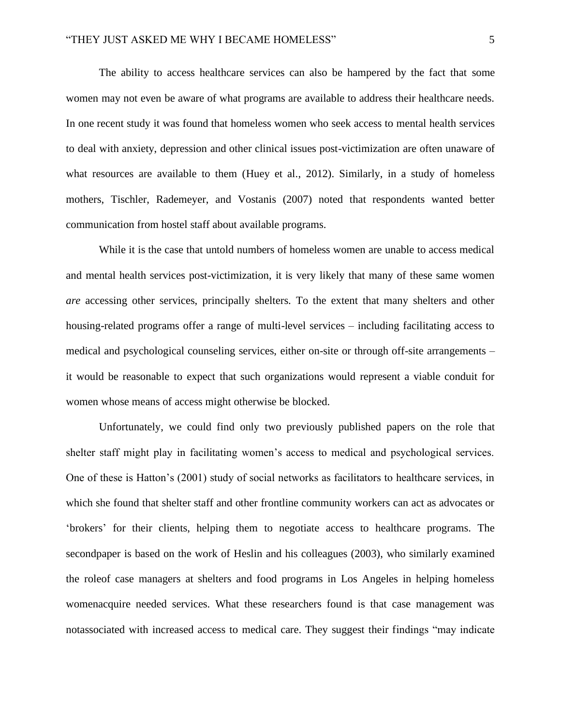The ability to access healthcare services can also be hampered by the fact that some women may not even be aware of what programs are available to address their healthcare needs. In one recent study it was found that homeless women who seek access to mental health services to deal with anxiety, depression and other clinical issues post-victimization are often unaware of what resources are available to them (Huey et al., 2012). Similarly, in a study of homeless mothers, Tischler, Rademeyer, and Vostanis (2007) noted that respondents wanted better communication from hostel staff about available programs.

While it is the case that untold numbers of homeless women are unable to access medical and mental health services post-victimization, it is very likely that many of these same women *are* accessing other services, principally shelters. To the extent that many shelters and other housing-related programs offer a range of multi-level services – including facilitating access to medical and psychological counseling services, either on-site or through off-site arrangements – it would be reasonable to expect that such organizations would represent a viable conduit for women whose means of access might otherwise be blocked.

Unfortunately, we could find only two previously published papers on the role that shelter staff might play in facilitating women's access to medical and psychological services. One of these is Hatton's (2001) study of social networks as facilitators to healthcare services, in which she found that shelter staff and other frontline community workers can act as advocates or 'brokers' for their clients, helping them to negotiate access to healthcare programs. The secondpaper is based on the work of Heslin and his colleagues (2003), who similarly examined the roleof case managers at shelters and food programs in Los Angeles in helping homeless womenacquire needed services. What these researchers found is that case management was notassociated with increased access to medical care. They suggest their findings "may indicate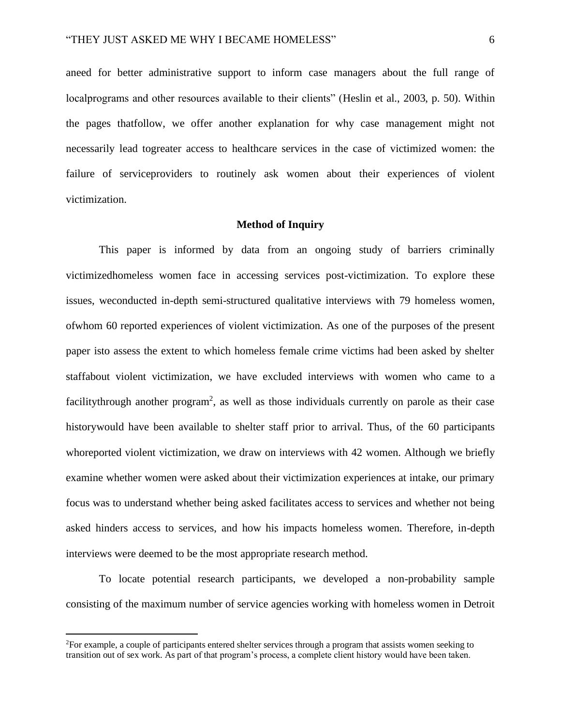aneed for better administrative support to inform case managers about the full range of localprograms and other resources available to their clients" (Heslin et al., 2003, p. 50). Within the pages thatfollow, we offer another explanation for why case management might not necessarily lead togreater access to healthcare services in the case of victimized women: the failure of serviceproviders to routinely ask women about their experiences of violent victimization.

### **Method of Inquiry**

This paper is informed by data from an ongoing study of barriers criminally victimizedhomeless women face in accessing services post-victimization. To explore these issues, weconducted in-depth semi-structured qualitative interviews with 79 homeless women, ofwhom 60 reported experiences of violent victimization. As one of the purposes of the present paper isto assess the extent to which homeless female crime victims had been asked by shelter staffabout violent victimization, we have excluded interviews with women who came to a facilitythrough another program<sup>2</sup>, as well as those individuals currently on parole as their case historywould have been available to shelter staff prior to arrival. Thus, of the 60 participants whoreported violent victimization, we draw on interviews with 42 women. Although we briefly examine whether women were asked about their victimization experiences at intake, our primary focus was to understand whether being asked facilitates access to services and whether not being asked hinders access to services, and how his impacts homeless women. Therefore, in-depth interviews were deemed to be the most appropriate research method.

To locate potential research participants, we developed a non-probability sample consisting of the maximum number of service agencies working with homeless women in Detroit

<sup>2</sup>For example, a couple of participants entered shelter services through a program that assists women seeking to transition out of sex work. As part of that program's process, a complete client history would have been taken.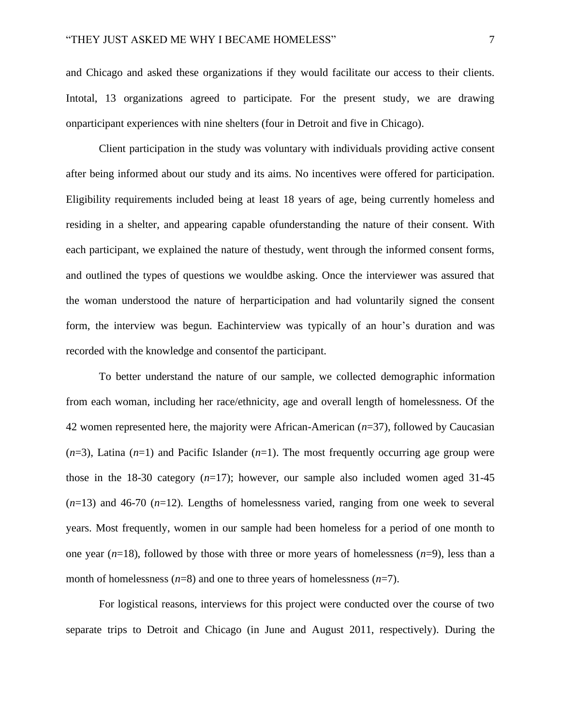and Chicago and asked these organizations if they would facilitate our access to their clients. Intotal, 13 organizations agreed to participate. For the present study, we are drawing onparticipant experiences with nine shelters (four in Detroit and five in Chicago).

Client participation in the study was voluntary with individuals providing active consent after being informed about our study and its aims. No incentives were offered for participation. Eligibility requirements included being at least 18 years of age, being currently homeless and residing in a shelter, and appearing capable ofunderstanding the nature of their consent. With each participant, we explained the nature of thestudy, went through the informed consent forms, and outlined the types of questions we wouldbe asking. Once the interviewer was assured that the woman understood the nature of herparticipation and had voluntarily signed the consent form, the interview was begun. Eachinterview was typically of an hour's duration and was recorded with the knowledge and consentof the participant.

To better understand the nature of our sample, we collected demographic information from each woman, including her race/ethnicity, age and overall length of homelessness. Of the 42 women represented here, the majority were African-American (*n*=37), followed by Caucasian  $(n=3)$ , Latina  $(n=1)$  and Pacific Islander  $(n=1)$ . The most frequently occurring age group were those in the 18-30 category (*n*=17); however, our sample also included women aged 31-45 (*n*=13) and 46-70 (*n*=12). Lengths of homelessness varied, ranging from one week to several years. Most frequently, women in our sample had been homeless for a period of one month to one year (*n*=18), followed by those with three or more years of homelessness (*n*=9), less than a month of homelessness (*n*=8) and one to three years of homelessness (*n*=7).

For logistical reasons, interviews for this project were conducted over the course of two separate trips to Detroit and Chicago (in June and August 2011, respectively). During the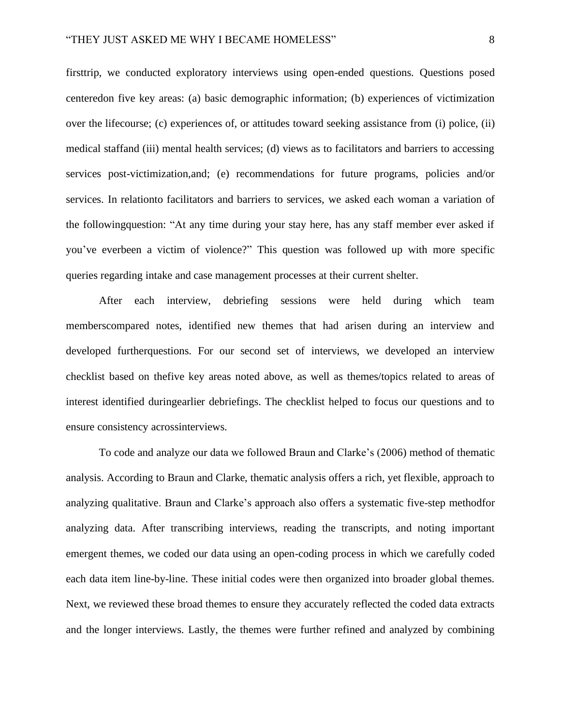firsttrip, we conducted exploratory interviews using open-ended questions. Questions posed centeredon five key areas: (a) basic demographic information; (b) experiences of victimization over the lifecourse; (c) experiences of, or attitudes toward seeking assistance from (i) police, (ii) medical staffand (iii) mental health services; (d) views as to facilitators and barriers to accessing services post-victimization,and; (e) recommendations for future programs, policies and/or services. In relationto facilitators and barriers to services, we asked each woman a variation of the followingquestion: "At any time during your stay here, has any staff member ever asked if you've everbeen a victim of violence?" This question was followed up with more specific queries regarding intake and case management processes at their current shelter.

After each interview, debriefing sessions were held during which team memberscompared notes, identified new themes that had arisen during an interview and developed furtherquestions. For our second set of interviews, we developed an interview checklist based on thefive key areas noted above, as well as themes/topics related to areas of interest identified duringearlier debriefings. The checklist helped to focus our questions and to ensure consistency acrossinterviews.

To code and analyze our data we followed Braun and Clarke's (2006) method of thematic analysis. According to Braun and Clarke, thematic analysis offers a rich, yet flexible, approach to analyzing qualitative. Braun and Clarke's approach also offers a systematic five-step methodfor analyzing data. After transcribing interviews, reading the transcripts, and noting important emergent themes, we coded our data using an open-coding process in which we carefully coded each data item line-by-line. These initial codes were then organized into broader global themes. Next, we reviewed these broad themes to ensure they accurately reflected the coded data extracts and the longer interviews. Lastly, the themes were further refined and analyzed by combining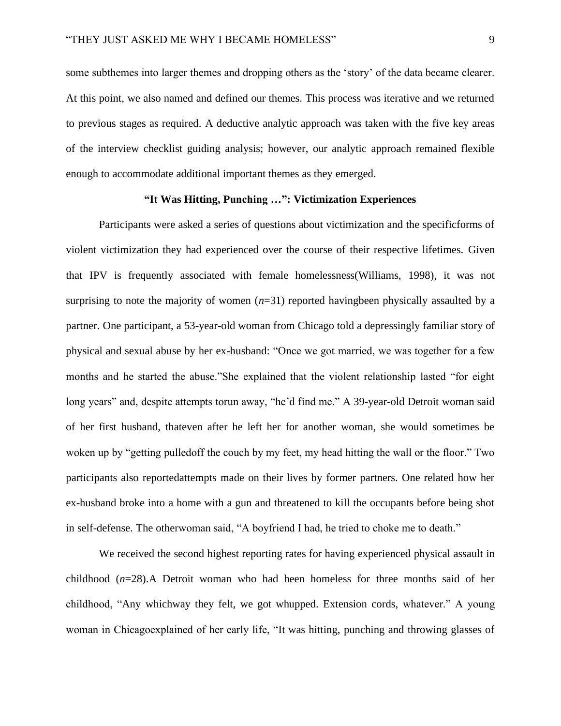some subthemes into larger themes and dropping others as the 'story' of the data became clearer. At this point, we also named and defined our themes. This process was iterative and we returned to previous stages as required. A deductive analytic approach was taken with the five key areas of the interview checklist guiding analysis; however, our analytic approach remained flexible enough to accommodate additional important themes as they emerged.

# **"It Was Hitting, Punching …": Victimization Experiences**

Participants were asked a series of questions about victimization and the specificforms of violent victimization they had experienced over the course of their respective lifetimes. Given that IPV is frequently associated with female homelessness(Williams, 1998), it was not surprising to note the majority of women  $(n=31)$  reported havingbeen physically assaulted by a partner. One participant, a 53-year-old woman from Chicago told a depressingly familiar story of physical and sexual abuse by her ex-husband: "Once we got married, we was together for a few months and he started the abuse."She explained that the violent relationship lasted "for eight long years" and, despite attempts torun away, "he'd find me." A 39-year-old Detroit woman said of her first husband, thateven after he left her for another woman, she would sometimes be woken up by "getting pulledoff the couch by my feet, my head hitting the wall or the floor." Two participants also reportedattempts made on their lives by former partners. One related how her ex-husband broke into a home with a gun and threatened to kill the occupants before being shot in self-defense. The otherwoman said, "A boyfriend I had, he tried to choke me to death."

We received the second highest reporting rates for having experienced physical assault in childhood (*n*=28).A Detroit woman who had been homeless for three months said of her childhood, "Any whichway they felt, we got whupped. Extension cords, whatever." A young woman in Chicagoexplained of her early life, "It was hitting, punching and throwing glasses of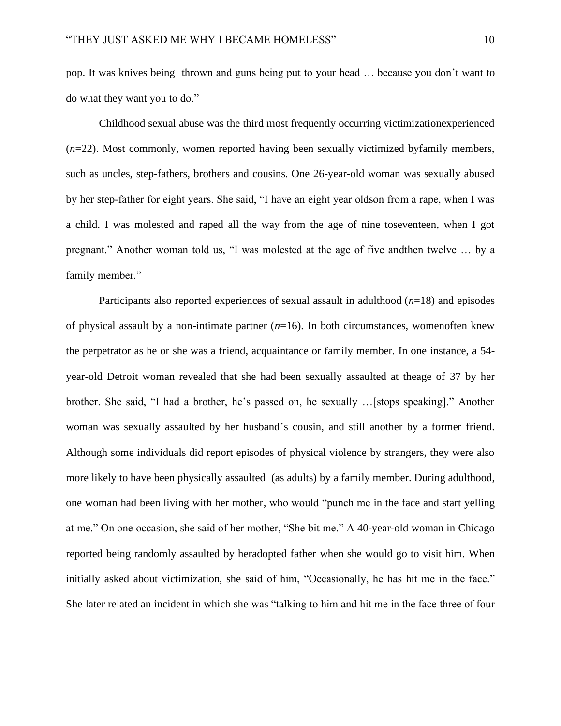pop. It was knives being thrown and guns being put to your head … because you don't want to do what they want you to do."

Childhood sexual abuse was the third most frequently occurring victimizationexperienced (*n*=22). Most commonly, women reported having been sexually victimized byfamily members, such as uncles, step-fathers, brothers and cousins. One 26-year-old woman was sexually abused by her step-father for eight years. She said, "I have an eight year oldson from a rape, when I was a child. I was molested and raped all the way from the age of nine toseventeen, when I got pregnant." Another woman told us, "I was molested at the age of five andthen twelve … by a family member."

Participants also reported experiences of sexual assault in adulthood  $(n=18)$  and episodes of physical assault by a non-intimate partner (*n*=16). In both circumstances, womenoften knew the perpetrator as he or she was a friend, acquaintance or family member. In one instance, a 54 year-old Detroit woman revealed that she had been sexually assaulted at theage of 37 by her brother. She said, "I had a brother, he's passed on, he sexually …[stops speaking]." Another woman was sexually assaulted by her husband's cousin, and still another by a former friend. Although some individuals did report episodes of physical violence by strangers, they were also more likely to have been physically assaulted (as adults) by a family member. During adulthood, one woman had been living with her mother, who would "punch me in the face and start yelling at me." On one occasion, she said of her mother, "She bit me." A 40-year-old woman in Chicago reported being randomly assaulted by heradopted father when she would go to visit him. When initially asked about victimization, she said of him, "Occasionally, he has hit me in the face." She later related an incident in which she was "talking to him and hit me in the face three of four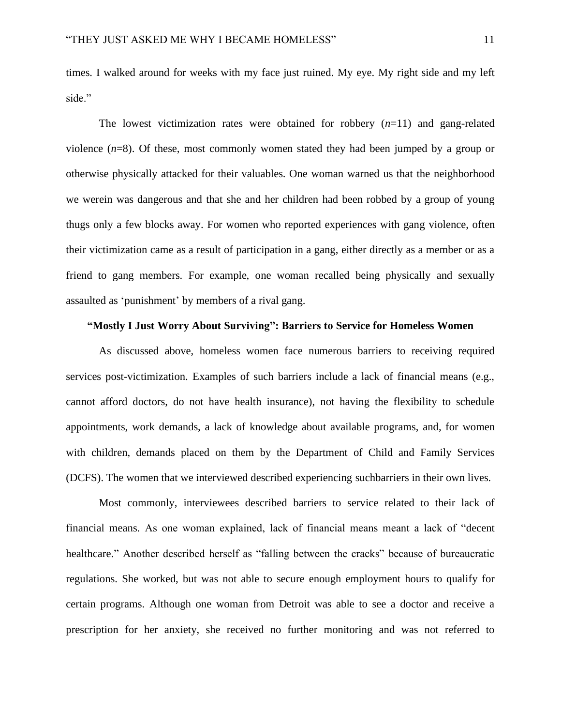times. I walked around for weeks with my face just ruined. My eye. My right side and my left side."

The lowest victimization rates were obtained for robbery  $(n=11)$  and gang-related violence (*n*=8). Of these, most commonly women stated they had been jumped by a group or otherwise physically attacked for their valuables. One woman warned us that the neighborhood we werein was dangerous and that she and her children had been robbed by a group of young thugs only a few blocks away. For women who reported experiences with gang violence, often their victimization came as a result of participation in a gang, either directly as a member or as a friend to gang members. For example, one woman recalled being physically and sexually assaulted as 'punishment' by members of a rival gang.

# **"Mostly I Just Worry About Surviving": Barriers to Service for Homeless Women**

As discussed above, homeless women face numerous barriers to receiving required services post-victimization. Examples of such barriers include a lack of financial means (e.g., cannot afford doctors, do not have health insurance), not having the flexibility to schedule appointments, work demands, a lack of knowledge about available programs, and, for women with children, demands placed on them by the Department of Child and Family Services (DCFS). The women that we interviewed described experiencing suchbarriers in their own lives.

Most commonly, interviewees described barriers to service related to their lack of financial means. As one woman explained, lack of financial means meant a lack of "decent healthcare." Another described herself as "falling between the cracks" because of bureaucratic regulations. She worked, but was not able to secure enough employment hours to qualify for certain programs. Although one woman from Detroit was able to see a doctor and receive a prescription for her anxiety, she received no further monitoring and was not referred to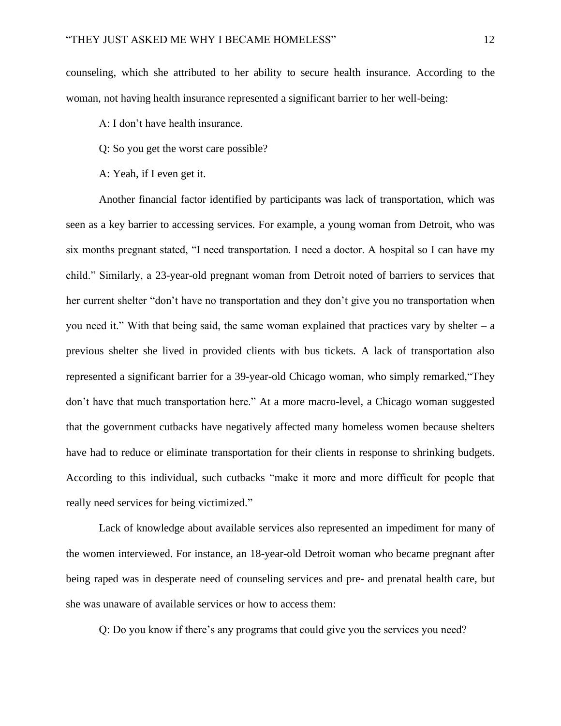counseling, which she attributed to her ability to secure health insurance. According to the woman, not having health insurance represented a significant barrier to her well-being:

A: I don't have health insurance.

Q: So you get the worst care possible?

A: Yeah, if I even get it.

Another financial factor identified by participants was lack of transportation, which was seen as a key barrier to accessing services. For example, a young woman from Detroit, who was six months pregnant stated, "I need transportation. I need a doctor. A hospital so I can have my child." Similarly, a 23-year-old pregnant woman from Detroit noted of barriers to services that her current shelter "don't have no transportation and they don't give you no transportation when you need it." With that being said, the same woman explained that practices vary by shelter  $-$  a previous shelter she lived in provided clients with bus tickets. A lack of transportation also represented a significant barrier for a 39-year-old Chicago woman, who simply remarked,"They don't have that much transportation here." At a more macro-level, a Chicago woman suggested that the government cutbacks have negatively affected many homeless women because shelters have had to reduce or eliminate transportation for their clients in response to shrinking budgets. According to this individual, such cutbacks "make it more and more difficult for people that really need services for being victimized."

Lack of knowledge about available services also represented an impediment for many of the women interviewed. For instance, an 18-year-old Detroit woman who became pregnant after being raped was in desperate need of counseling services and pre- and prenatal health care, but she was unaware of available services or how to access them:

Q: Do you know if there's any programs that could give you the services you need?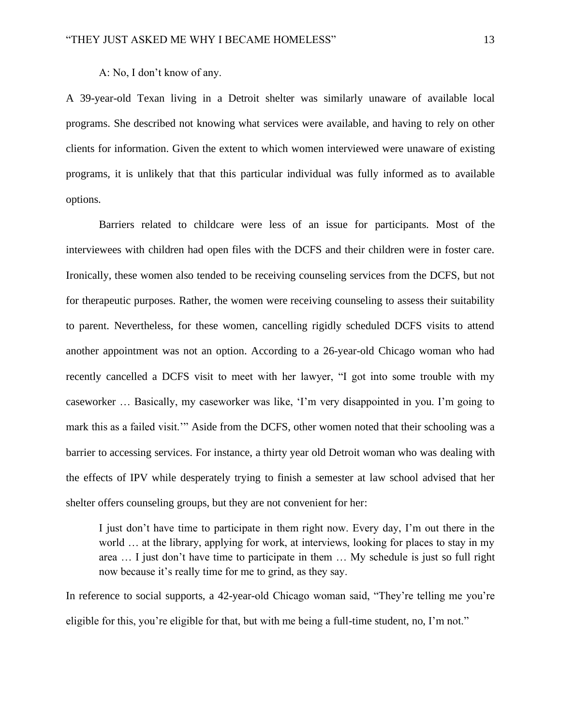A: No, I don't know of any.

A 39-year-old Texan living in a Detroit shelter was similarly unaware of available local programs. She described not knowing what services were available, and having to rely on other clients for information. Given the extent to which women interviewed were unaware of existing programs, it is unlikely that that this particular individual was fully informed as to available options.

Barriers related to childcare were less of an issue for participants. Most of the interviewees with children had open files with the DCFS and their children were in foster care. Ironically, these women also tended to be receiving counseling services from the DCFS, but not for therapeutic purposes. Rather, the women were receiving counseling to assess their suitability to parent. Nevertheless, for these women, cancelling rigidly scheduled DCFS visits to attend another appointment was not an option. According to a 26-year-old Chicago woman who had recently cancelled a DCFS visit to meet with her lawyer, "I got into some trouble with my caseworker … Basically, my caseworker was like, 'I'm very disappointed in you. I'm going to mark this as a failed visit.'" Aside from the DCFS, other women noted that their schooling was a barrier to accessing services. For instance, a thirty year old Detroit woman who was dealing with the effects of IPV while desperately trying to finish a semester at law school advised that her shelter offers counseling groups, but they are not convenient for her:

I just don't have time to participate in them right now. Every day, I'm out there in the world … at the library, applying for work, at interviews, looking for places to stay in my area … I just don't have time to participate in them … My schedule is just so full right now because it's really time for me to grind, as they say.

In reference to social supports, a 42-year-old Chicago woman said, "They're telling me you're eligible for this, you're eligible for that, but with me being a full-time student, no, I'm not."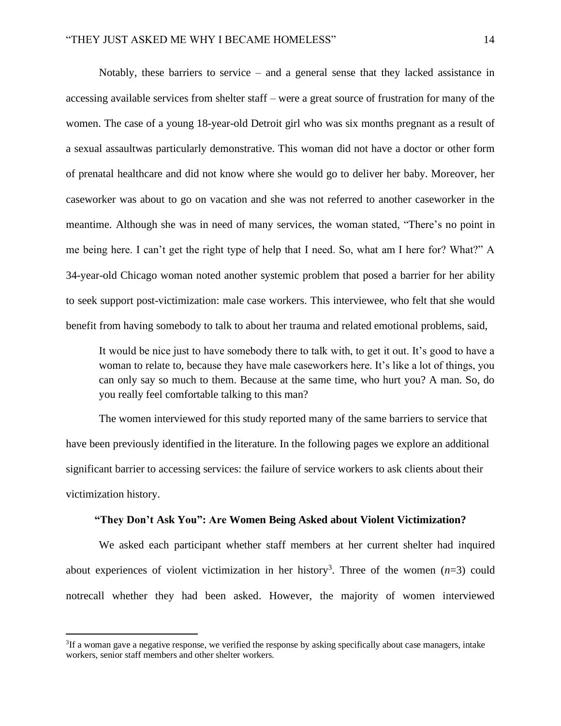Notably, these barriers to service – and a general sense that they lacked assistance in accessing available services from shelter staff – were a great source of frustration for many of the women. The case of a young 18-year-old Detroit girl who was six months pregnant as a result of a sexual assaultwas particularly demonstrative. This woman did not have a doctor or other form of prenatal healthcare and did not know where she would go to deliver her baby. Moreover, her caseworker was about to go on vacation and she was not referred to another caseworker in the meantime. Although she was in need of many services, the woman stated, "There's no point in me being here. I can't get the right type of help that I need. So, what am I here for? What?" A 34-year-old Chicago woman noted another systemic problem that posed a barrier for her ability to seek support post-victimization: male case workers. This interviewee, who felt that she would benefit from having somebody to talk to about her trauma and related emotional problems, said,

It would be nice just to have somebody there to talk with, to get it out. It's good to have a woman to relate to, because they have male caseworkers here. It's like a lot of things, you can only say so much to them. Because at the same time, who hurt you? A man. So, do you really feel comfortable talking to this man?

The women interviewed for this study reported many of the same barriers to service that have been previously identified in the literature. In the following pages we explore an additional significant barrier to accessing services: the failure of service workers to ask clients about their victimization history.

# **"They Don't Ask You": Are Women Being Asked about Violent Victimization?**

We asked each participant whether staff members at her current shelter had inquired about experiences of violent victimization in her history<sup>3</sup>. Three of the women  $(n=3)$  could notrecall whether they had been asked. However, the majority of women interviewed

 ${}^{3}$ If a woman gave a negative response, we verified the response by asking specifically about case managers, intake workers, senior staff members and other shelter workers.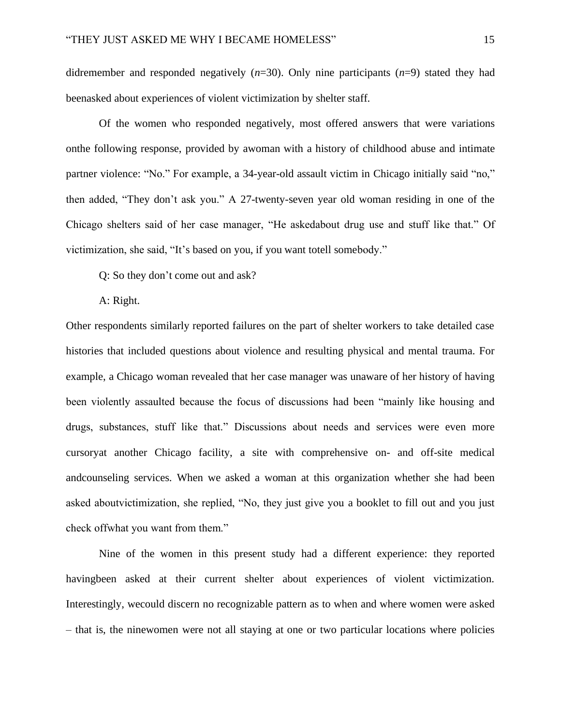didremember and responded negatively (*n*=30). Only nine participants (*n*=9) stated they had beenasked about experiences of violent victimization by shelter staff.

Of the women who responded negatively, most offered answers that were variations onthe following response, provided by awoman with a history of childhood abuse and intimate partner violence: "No." For example, a 34-year-old assault victim in Chicago initially said "no," then added, "They don't ask you." A 27-twenty-seven year old woman residing in one of the Chicago shelters said of her case manager, "He askedabout drug use and stuff like that." Of victimization, she said, "It's based on you, if you want totell somebody."

Q: So they don't come out and ask?

#### A: Right.

Other respondents similarly reported failures on the part of shelter workers to take detailed case histories that included questions about violence and resulting physical and mental trauma. For example, a Chicago woman revealed that her case manager was unaware of her history of having been violently assaulted because the focus of discussions had been "mainly like housing and drugs, substances, stuff like that." Discussions about needs and services were even more cursoryat another Chicago facility, a site with comprehensive on- and off-site medical andcounseling services. When we asked a woman at this organization whether she had been asked aboutvictimization, she replied, "No, they just give you a booklet to fill out and you just check offwhat you want from them."

Nine of the women in this present study had a different experience: they reported havingbeen asked at their current shelter about experiences of violent victimization. Interestingly, wecould discern no recognizable pattern as to when and where women were asked – that is, the ninewomen were not all staying at one or two particular locations where policies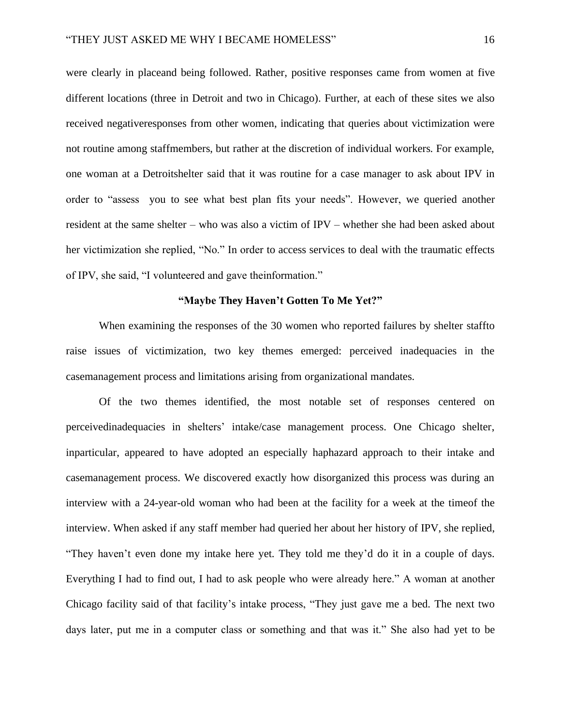were clearly in placeand being followed. Rather, positive responses came from women at five different locations (three in Detroit and two in Chicago). Further, at each of these sites we also received negativeresponses from other women, indicating that queries about victimization were not routine among staffmembers, but rather at the discretion of individual workers. For example, one woman at a Detroitshelter said that it was routine for a case manager to ask about IPV in order to "assess you to see what best plan fits your needs". However, we queried another resident at the same shelter – who was also a victim of IPV – whether she had been asked about her victimization she replied, "No." In order to access services to deal with the traumatic effects of IPV, she said, "I volunteered and gave theinformation."

# **"Maybe They Haven't Gotten To Me Yet?"**

When examining the responses of the 30 women who reported failures by shelter staffto raise issues of victimization, two key themes emerged: perceived inadequacies in the casemanagement process and limitations arising from organizational mandates.

Of the two themes identified, the most notable set of responses centered on perceivedinadequacies in shelters' intake/case management process. One Chicago shelter, inparticular, appeared to have adopted an especially haphazard approach to their intake and casemanagement process. We discovered exactly how disorganized this process was during an interview with a 24-year-old woman who had been at the facility for a week at the timeof the interview. When asked if any staff member had queried her about her history of IPV, she replied, "They haven't even done my intake here yet. They told me they'd do it in a couple of days. Everything I had to find out, I had to ask people who were already here." A woman at another Chicago facility said of that facility's intake process, "They just gave me a bed. The next two days later, put me in a computer class or something and that was it." She also had yet to be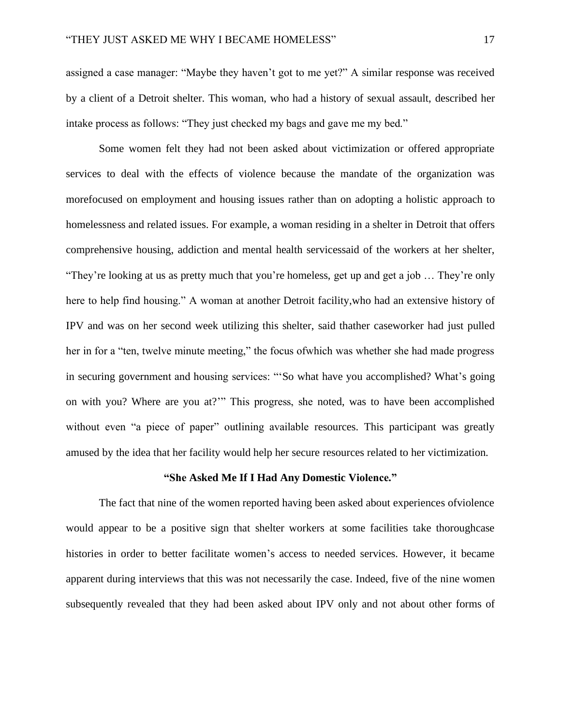assigned a case manager: "Maybe they haven't got to me yet?" A similar response was received by a client of a Detroit shelter. This woman, who had a history of sexual assault, described her intake process as follows: "They just checked my bags and gave me my bed."

Some women felt they had not been asked about victimization or offered appropriate services to deal with the effects of violence because the mandate of the organization was morefocused on employment and housing issues rather than on adopting a holistic approach to homelessness and related issues. For example, a woman residing in a shelter in Detroit that offers comprehensive housing, addiction and mental health servicessaid of the workers at her shelter, "They're looking at us as pretty much that you're homeless, get up and get a job … They're only here to help find housing." A woman at another Detroit facility,who had an extensive history of IPV and was on her second week utilizing this shelter, said thather caseworker had just pulled her in for a "ten, twelve minute meeting," the focus of which was whether she had made progress in securing government and housing services: "'So what have you accomplished? What's going on with you? Where are you at?'" This progress, she noted, was to have been accomplished without even "a piece of paper" outlining available resources. This participant was greatly amused by the idea that her facility would help her secure resources related to her victimization.

### **"She Asked Me If I Had Any Domestic Violence."**

The fact that nine of the women reported having been asked about experiences ofviolence would appear to be a positive sign that shelter workers at some facilities take thoroughcase histories in order to better facilitate women's access to needed services. However, it became apparent during interviews that this was not necessarily the case. Indeed, five of the nine women subsequently revealed that they had been asked about IPV only and not about other forms of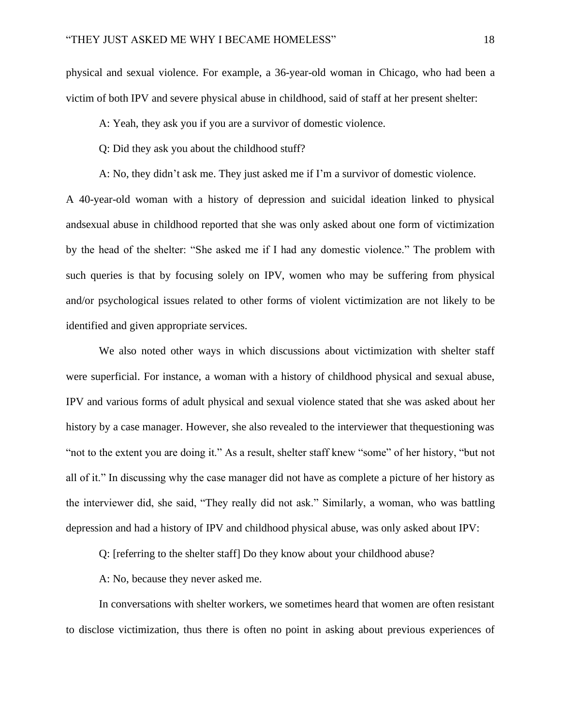physical and sexual violence. For example, a 36-year-old woman in Chicago, who had been a victim of both IPV and severe physical abuse in childhood, said of staff at her present shelter:

A: Yeah, they ask you if you are a survivor of domestic violence.

Q: Did they ask you about the childhood stuff?

A: No, they didn't ask me. They just asked me if I'm a survivor of domestic violence.

A 40-year-old woman with a history of depression and suicidal ideation linked to physical andsexual abuse in childhood reported that she was only asked about one form of victimization by the head of the shelter: "She asked me if I had any domestic violence." The problem with such queries is that by focusing solely on IPV, women who may be suffering from physical and/or psychological issues related to other forms of violent victimization are not likely to be identified and given appropriate services.

We also noted other ways in which discussions about victimization with shelter staff were superficial. For instance, a woman with a history of childhood physical and sexual abuse, IPV and various forms of adult physical and sexual violence stated that she was asked about her history by a case manager. However, she also revealed to the interviewer that thequestioning was "not to the extent you are doing it." As a result, shelter staff knew "some" of her history, "but not all of it." In discussing why the case manager did not have as complete a picture of her history as the interviewer did, she said, "They really did not ask." Similarly, a woman, who was battling depression and had a history of IPV and childhood physical abuse, was only asked about IPV:

Q: [referring to the shelter staff] Do they know about your childhood abuse?

A: No, because they never asked me.

In conversations with shelter workers, we sometimes heard that women are often resistant to disclose victimization, thus there is often no point in asking about previous experiences of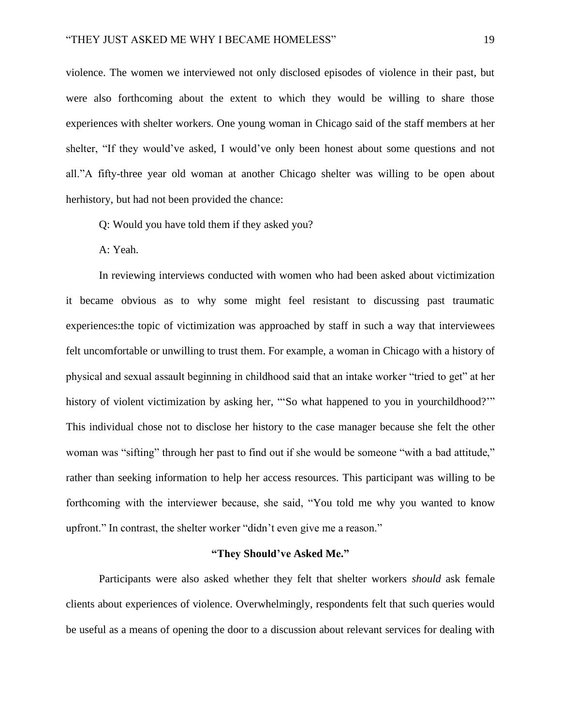violence. The women we interviewed not only disclosed episodes of violence in their past, but were also forthcoming about the extent to which they would be willing to share those experiences with shelter workers. One young woman in Chicago said of the staff members at her shelter, "If they would've asked, I would've only been honest about some questions and not all."A fifty-three year old woman at another Chicago shelter was willing to be open about herhistory, but had not been provided the chance:

Q: Would you have told them if they asked you?

A: Yeah.

In reviewing interviews conducted with women who had been asked about victimization it became obvious as to why some might feel resistant to discussing past traumatic experiences:the topic of victimization was approached by staff in such a way that interviewees felt uncomfortable or unwilling to trust them. For example, a woman in Chicago with a history of physical and sexual assault beginning in childhood said that an intake worker "tried to get" at her history of violent victimization by asking her, "'So what happened to you in yourchildhood?'" This individual chose not to disclose her history to the case manager because she felt the other woman was "sifting" through her past to find out if she would be someone "with a bad attitude," rather than seeking information to help her access resources. This participant was willing to be forthcoming with the interviewer because, she said, "You told me why you wanted to know upfront." In contrast, the shelter worker "didn't even give me a reason."

# **"They Should've Asked Me."**

Participants were also asked whether they felt that shelter workers *should* ask female clients about experiences of violence. Overwhelmingly, respondents felt that such queries would be useful as a means of opening the door to a discussion about relevant services for dealing with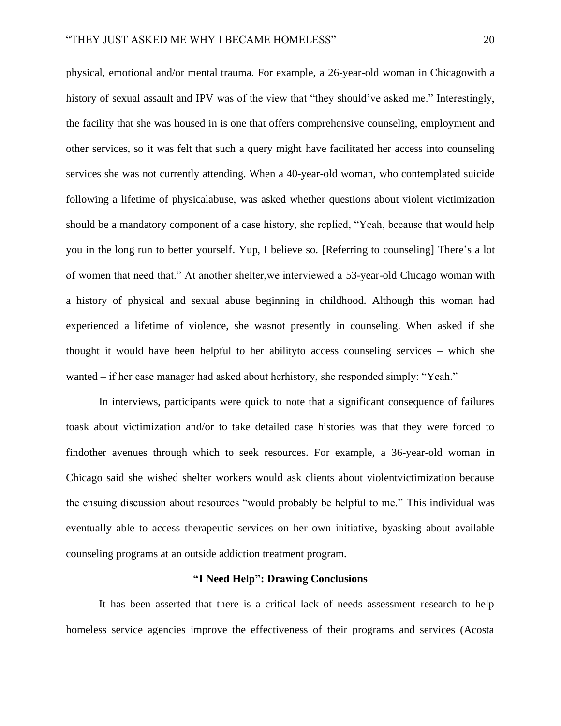physical, emotional and/or mental trauma. For example, a 26-year-old woman in Chicagowith a history of sexual assault and IPV was of the view that "they should've asked me." Interestingly, the facility that she was housed in is one that offers comprehensive counseling, employment and other services, so it was felt that such a query might have facilitated her access into counseling services she was not currently attending. When a 40-year-old woman, who contemplated suicide following a lifetime of physicalabuse, was asked whether questions about violent victimization should be a mandatory component of a case history, she replied, "Yeah, because that would help you in the long run to better yourself. Yup, I believe so. [Referring to counseling] There's a lot of women that need that." At another shelter,we interviewed a 53-year-old Chicago woman with a history of physical and sexual abuse beginning in childhood. Although this woman had experienced a lifetime of violence, she wasnot presently in counseling. When asked if she thought it would have been helpful to her abilityto access counseling services – which she wanted – if her case manager had asked about herhistory, she responded simply: "Yeah."

In interviews, participants were quick to note that a significant consequence of failures toask about victimization and/or to take detailed case histories was that they were forced to findother avenues through which to seek resources. For example, a 36-year-old woman in Chicago said she wished shelter workers would ask clients about violentvictimization because the ensuing discussion about resources "would probably be helpful to me." This individual was eventually able to access therapeutic services on her own initiative, byasking about available counseling programs at an outside addiction treatment program.

# **"I Need Help": Drawing Conclusions**

It has been asserted that there is a critical lack of needs assessment research to help homeless service agencies improve the effectiveness of their programs and services (Acosta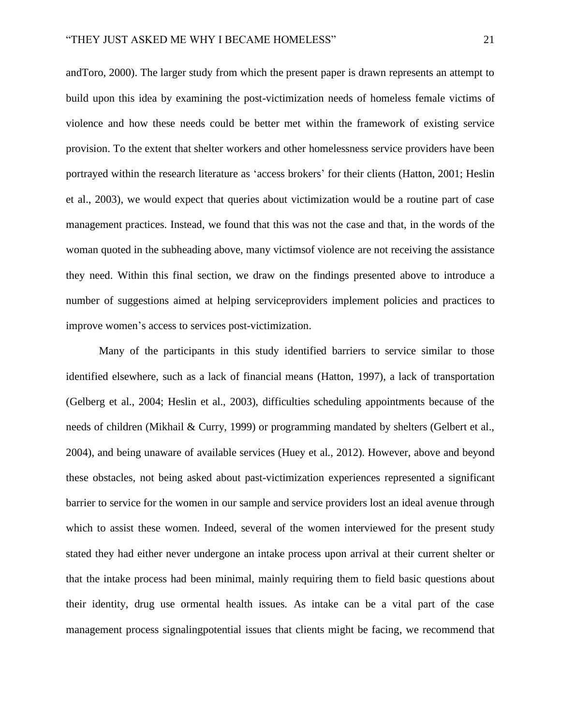andToro, 2000). The larger study from which the present paper is drawn represents an attempt to build upon this idea by examining the post-victimization needs of homeless female victims of violence and how these needs could be better met within the framework of existing service provision. To the extent that shelter workers and other homelessness service providers have been portrayed within the research literature as 'access brokers' for their clients (Hatton, 2001; Heslin et al., 2003), we would expect that queries about victimization would be a routine part of case management practices. Instead, we found that this was not the case and that, in the words of the woman quoted in the subheading above, many victimsof violence are not receiving the assistance they need. Within this final section, we draw on the findings presented above to introduce a number of suggestions aimed at helping serviceproviders implement policies and practices to improve women's access to services post-victimization.

Many of the participants in this study identified barriers to service similar to those identified elsewhere, such as a lack of financial means (Hatton, 1997), a lack of transportation (Gelberg et al., 2004; Heslin et al., 2003), difficulties scheduling appointments because of the needs of children (Mikhail & Curry, 1999) or programming mandated by shelters (Gelbert et al., 2004), and being unaware of available services (Huey et al., 2012). However, above and beyond these obstacles, not being asked about past-victimization experiences represented a significant barrier to service for the women in our sample and service providers lost an ideal avenue through which to assist these women. Indeed, several of the women interviewed for the present study stated they had either never undergone an intake process upon arrival at their current shelter or that the intake process had been minimal, mainly requiring them to field basic questions about their identity, drug use ormental health issues. As intake can be a vital part of the case management process signalingpotential issues that clients might be facing, we recommend that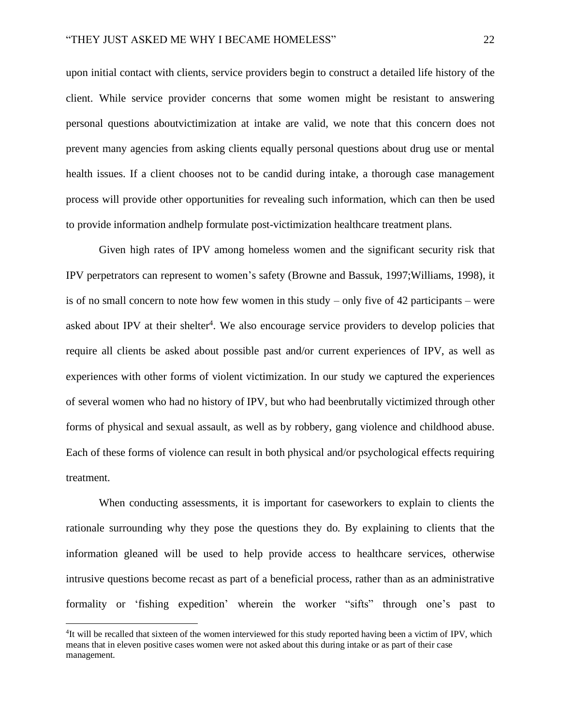upon initial contact with clients, service providers begin to construct a detailed life history of the client. While service provider concerns that some women might be resistant to answering personal questions aboutvictimization at intake are valid, we note that this concern does not prevent many agencies from asking clients equally personal questions about drug use or mental health issues. If a client chooses not to be candid during intake, a thorough case management process will provide other opportunities for revealing such information, which can then be used to provide information andhelp formulate post-victimization healthcare treatment plans.

Given high rates of IPV among homeless women and the significant security risk that IPV perpetrators can represent to women's safety (Browne and Bassuk, 1997;Williams, 1998), it is of no small concern to note how few women in this study – only five of 42 participants – were asked about IPV at their shelter<sup>4</sup>. We also encourage service providers to develop policies that require all clients be asked about possible past and/or current experiences of IPV, as well as experiences with other forms of violent victimization. In our study we captured the experiences of several women who had no history of IPV, but who had beenbrutally victimized through other forms of physical and sexual assault, as well as by robbery, gang violence and childhood abuse. Each of these forms of violence can result in both physical and/or psychological effects requiring treatment.

When conducting assessments, it is important for caseworkers to explain to clients the rationale surrounding why they pose the questions they do. By explaining to clients that the information gleaned will be used to help provide access to healthcare services, otherwise intrusive questions become recast as part of a beneficial process, rather than as an administrative formality or 'fishing expedition' wherein the worker "sifts" through one's past to

<sup>&</sup>lt;sup>4</sup>It will be recalled that sixteen of the women interviewed for this study reported having been a victim of IPV, which means that in eleven positive cases women were not asked about this during intake or as part of their case management.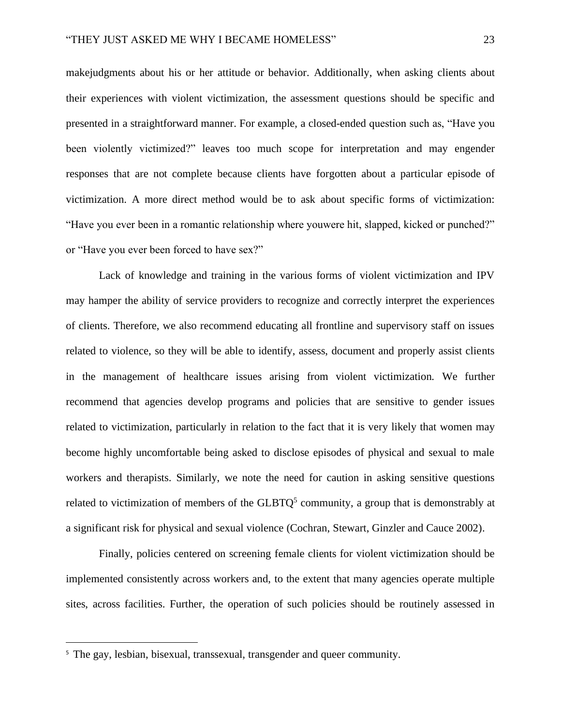makejudgments about his or her attitude or behavior. Additionally, when asking clients about their experiences with violent victimization, the assessment questions should be specific and presented in a straightforward manner. For example, a closed-ended question such as, "Have you been violently victimized?" leaves too much scope for interpretation and may engender responses that are not complete because clients have forgotten about a particular episode of victimization. A more direct method would be to ask about specific forms of victimization: "Have you ever been in a romantic relationship where youwere hit, slapped, kicked or punched?" or "Have you ever been forced to have sex?"

Lack of knowledge and training in the various forms of violent victimization and IPV may hamper the ability of service providers to recognize and correctly interpret the experiences of clients. Therefore, we also recommend educating all frontline and supervisory staff on issues related to violence, so they will be able to identify, assess, document and properly assist clients in the management of healthcare issues arising from violent victimization. We further recommend that agencies develop programs and policies that are sensitive to gender issues related to victimization, particularly in relation to the fact that it is very likely that women may become highly uncomfortable being asked to disclose episodes of physical and sexual to male workers and therapists. Similarly, we note the need for caution in asking sensitive questions related to victimization of members of the  $GLBTQ<sup>5</sup>$  community, a group that is demonstrably at a significant risk for physical and sexual violence (Cochran, Stewart, Ginzler and Cauce 2002).

Finally, policies centered on screening female clients for violent victimization should be implemented consistently across workers and, to the extent that many agencies operate multiple sites, across facilities. Further, the operation of such policies should be routinely assessed in

<sup>&</sup>lt;sup>5</sup> The gay, lesbian, bisexual, transsexual, transgender and queer community.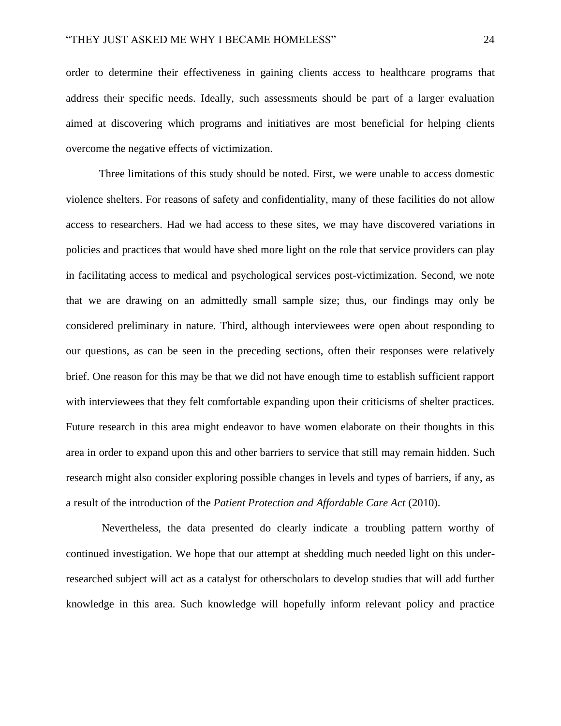order to determine their effectiveness in gaining clients access to healthcare programs that address their specific needs. Ideally, such assessments should be part of a larger evaluation aimed at discovering which programs and initiatives are most beneficial for helping clients overcome the negative effects of victimization.

Three limitations of this study should be noted. First, we were unable to access domestic violence shelters. For reasons of safety and confidentiality, many of these facilities do not allow access to researchers. Had we had access to these sites, we may have discovered variations in policies and practices that would have shed more light on the role that service providers can play in facilitating access to medical and psychological services post-victimization. Second, we note that we are drawing on an admittedly small sample size; thus, our findings may only be considered preliminary in nature. Third, although interviewees were open about responding to our questions, as can be seen in the preceding sections, often their responses were relatively brief. One reason for this may be that we did not have enough time to establish sufficient rapport with interviewees that they felt comfortable expanding upon their criticisms of shelter practices. Future research in this area might endeavor to have women elaborate on their thoughts in this area in order to expand upon this and other barriers to service that still may remain hidden. Such research might also consider exploring possible changes in levels and types of barriers, if any, as a result of the introduction of the *Patient Protection and Affordable Care Act* (2010).

Nevertheless, the data presented do clearly indicate a troubling pattern worthy of continued investigation. We hope that our attempt at shedding much needed light on this underresearched subject will act as a catalyst for otherscholars to develop studies that will add further knowledge in this area. Such knowledge will hopefully inform relevant policy and practice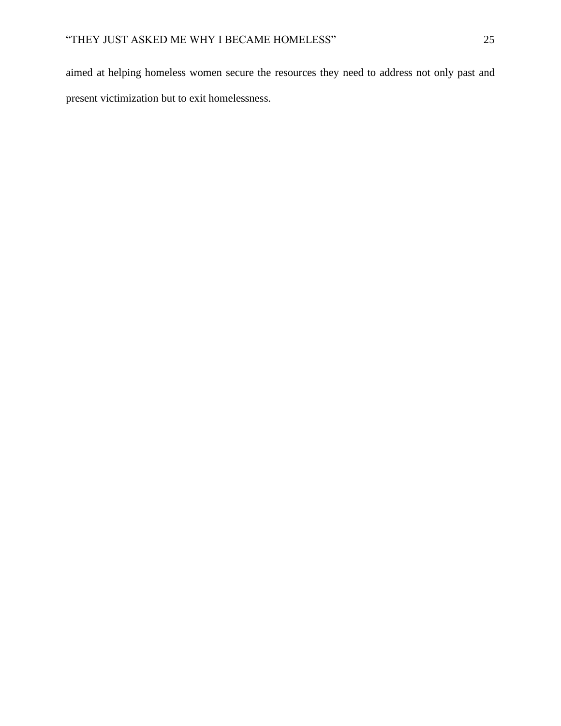aimed at helping homeless women secure the resources they need to address not only past and present victimization but to exit homelessness.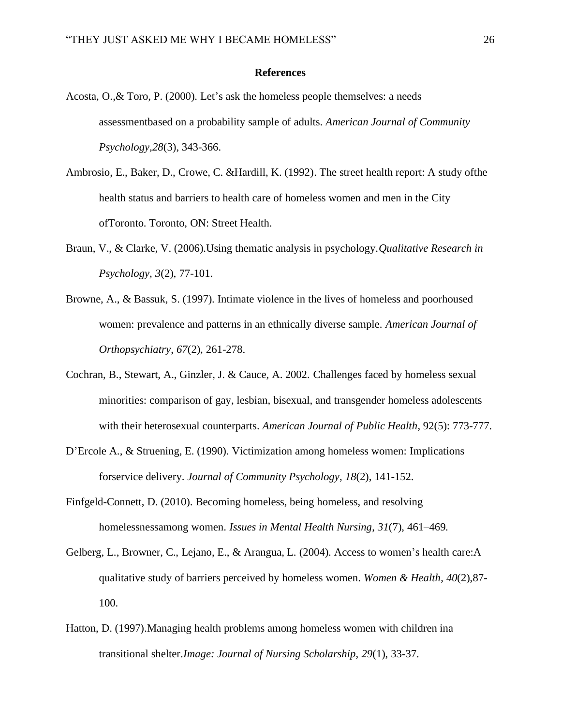### **References**

- Acosta, O.,& Toro, P. (2000). Let's ask the homeless people themselves: a needs assessmentbased on a probability sample of adults. *American Journal of Community Psychology,28*(3), 343-366.
- Ambrosio, E., Baker, D., Crowe, C. &Hardill, K. (1992). The street health report: A study ofthe health status and barriers to health care of homeless women and men in the City ofToronto. Toronto, ON: Street Health.
- Braun, V., & Clarke, V. (2006).Using thematic analysis in psychology.*Qualitative Research in Psychology, 3*(2), 77-101.
- Browne, A., & Bassuk, S. (1997). Intimate violence in the lives of homeless and poorhoused women: prevalence and patterns in an ethnically diverse sample. *American Journal of Orthopsychiatry*, *67*(2), 261-278.
- Cochran, B., Stewart, A., Ginzler, J. & Cauce, A. 2002. Challenges faced by homeless sexual minorities: comparison of gay, lesbian, bisexual, and transgender homeless adolescents with their heterosexual counterparts. *American Journal of Public Health*, 92(5): 773-777.
- D'Ercole A., & Struening, E. (1990). Victimization among homeless women: Implications forservice delivery. *Journal of Community Psychology*, *18*(2), 141-152.
- Finfgeld-Connett, D. (2010). Becoming homeless, being homeless, and resolving homelessnessamong women. *Issues in Mental Health Nursing*, *31*(7), 461–469.
- Gelberg, L., Browner, C., Lejano, E., & Arangua, L. (2004). Access to women's health care:A qualitative study of barriers perceived by homeless women. *Women & Health*, *40*(2),87- 100.
- Hatton, D. (1997).Managing health problems among homeless women with children ina transitional shelter.*Image: Journal of Nursing Scholarship*, *29*(1), 33-37.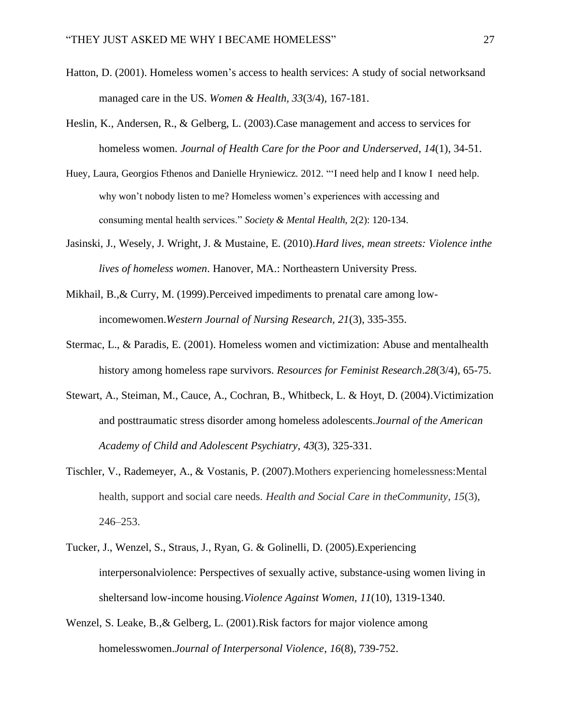- Hatton, D. (2001). Homeless women's access to health services: A study of social networksand managed care in the US. *Women & Health, 33*(3/4), 167-181.
- Heslin, K., Andersen, R., & Gelberg, L. (2003).Case management and access to services for homeless women. *Journal of Health Care for the Poor and Underserved*, *14*(1), 34-51.
- Huey, Laura, Georgios Fthenos and Danielle Hryniewicz. 2012. "'I need help and I know I need help. why won't nobody listen to me? Homeless women's experiences with accessing and consuming mental health services." *Society & Mental Health*, 2(2): 120-134.
- Jasinski, J., Wesely, J. Wright, J. & Mustaine, E. (2010).*Hard lives, mean streets: Violence inthe lives of homeless women*. Hanover, MA.: Northeastern University Press.
- Mikhail, B.,& Curry, M. (1999).Perceived impediments to prenatal care among lowincomewomen.*Western Journal of Nursing Research, 21*(3), 335-355.
- Stermac, L., & Paradis, E. (2001). Homeless women and victimization: Abuse and mentalhealth history among homeless rape survivors. *Resources for Feminist Research*.*28*(3/4), 65-75.
- Stewart, A., Steiman, M., Cauce, A., Cochran, B., Whitbeck, L. & Hoyt, D. (2004).Victimization and posttraumatic stress disorder among homeless adolescents.*Journal of the American Academy of Child and Adolescent Psychiatry*, *43*(3), 325-331.
- Tischler, V., Rademeyer, A., & Vostanis, P. (2007).Mothers experiencing homelessness:Mental health, support and social care needs. *Health and Social Care in theCommunity*, *15*(3), 246–253.
- Tucker, J., Wenzel, S., Straus, J., Ryan, G. & Golinelli, D. (2005).Experiencing interpersonalviolence: Perspectives of sexually active, substance-using women living in sheltersand low-income housing.*Violence Against Women*, *11*(10), 1319-1340.
- Wenzel, S. Leake, B.,& Gelberg, L. (2001).Risk factors for major violence among homelesswomen.*Journal of Interpersonal Violence*, *16*(8), 739-752.